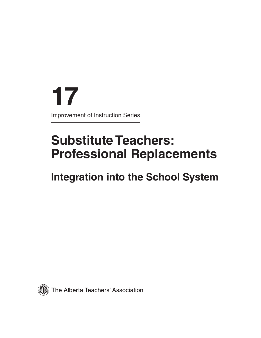**17** Improvement of Instruction Series

# **Substitute Teachers: Professional Replacements**

# **Integration into the School System**

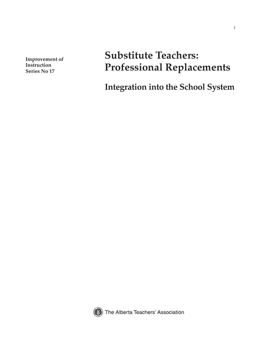**Improvement of Instruction Series No 17**

# **Substitute Teachers: Professional Replacements**

i

**Integration into the School System**



The Alberta Teachers' Association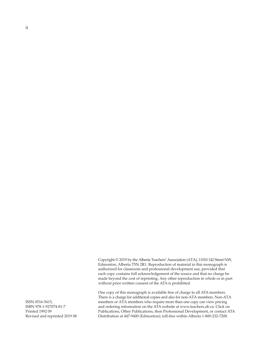ii

Copyright © 2019 by the Alberta Teachers' Association (ATA), 11010 142 Street NW, Edmonton, Alberta T5N 2R1. Reproduction of material in this monograph is authorized for classroom and professional development use, provided that each copy contains full acknowledgement of the source and that no charge be made beyond the cost of reprinting. Any other reproduction in whole or in part without prior written consent of the ATA is prohibited.

One copy of this monograph is available free of charge to all ATA members. There is a charge for additional copies and also for non-ATA members. Non-ATA members or ATA members who require more than one copy can view pricing and ordering information on the ATA website at www.teachers.ab.ca. Click on Publications, Other Publications, then Professional Development, or contact ATA Distribution at 447-9400 (Edmonton); toll-free within Alberta 1-800-232-7208.

ISSN 0516-5415, ISBN 978-1-927074-81-7 Printed 1992 09 Revised and reprinted 2019 08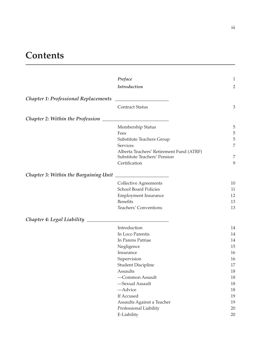# **Contents**

|                                              | Preface                                                                  | $\,1\,$        |
|----------------------------------------------|--------------------------------------------------------------------------|----------------|
|                                              | <b>Introduction</b>                                                      | $\overline{2}$ |
| <b>Chapter 1: Professional Replacements</b>  |                                                                          |                |
|                                              | <b>Contract Status</b>                                                   | 3              |
| <b>Chapter 2: Within the Profession</b>      |                                                                          |                |
|                                              | Membership Status                                                        | 5              |
|                                              | Fees                                                                     | 5              |
|                                              | Substitute Teachers Group                                                | 5              |
|                                              | Services                                                                 | 7              |
|                                              | Alberta Teachers' Retirement Fund (ATRF)<br>Substitute Teachers' Pension | $\overline{7}$ |
|                                              | Certification                                                            | 9              |
| <b>Chapter 3: Within the Bargaining Unit</b> |                                                                          |                |
|                                              | Collective Agreements                                                    | 10             |
|                                              | <b>School Board Policies</b>                                             | 11             |
|                                              | <b>Employment Insurance</b>                                              | 12             |
|                                              | <b>Benefits</b>                                                          | 13             |
|                                              | Teachers' Conventions                                                    | 13             |
| <b>Chapter 4: Legal Liability</b>            |                                                                          |                |
|                                              | Introduction                                                             | 14             |
|                                              | In Loco Parentis                                                         | 14             |
|                                              | In Parens Patriae                                                        | 14             |
|                                              | Negligence                                                               | 15             |
|                                              | Insurance                                                                | 16             |
|                                              | Supervision                                                              | 16             |
|                                              | <b>Student Discipline</b>                                                | 17             |
|                                              | Assaults                                                                 | 18             |
|                                              | -Common Assault                                                          | 18             |
|                                              | -Sexual Assault                                                          | 18             |
|                                              | -Advice                                                                  | 18             |
|                                              | If Accused                                                               | 19             |
|                                              | Assaults Against a Teacher                                               | 19             |
|                                              | Professional Liability                                                   | 20             |
|                                              | E-Liability                                                              | 20             |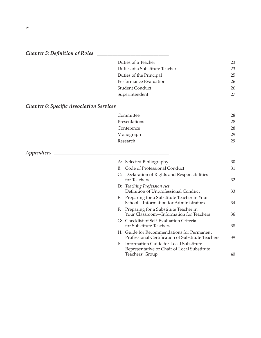| Chapter 5: Definition of Roles                  |    |                                                                                                          |    |
|-------------------------------------------------|----|----------------------------------------------------------------------------------------------------------|----|
|                                                 |    | Duties of a Teacher                                                                                      | 23 |
|                                                 |    | Duties of a Substitute Teacher                                                                           | 23 |
|                                                 |    | Duties of the Principal                                                                                  | 25 |
|                                                 |    | Performance Evaluation                                                                                   | 26 |
|                                                 |    | <b>Student Conduct</b>                                                                                   | 26 |
|                                                 |    | Superintendent                                                                                           | 27 |
| <b>Chapter 6: Specific Association Services</b> |    |                                                                                                          |    |
|                                                 |    | Committee                                                                                                | 28 |
|                                                 |    | Presentations                                                                                            | 28 |
|                                                 |    | Conference                                                                                               | 28 |
|                                                 |    | Monograph                                                                                                | 29 |
|                                                 |    | Research                                                                                                 | 29 |
| Appendices                                      |    |                                                                                                          |    |
|                                                 |    | A: Selected Bibliography                                                                                 | 30 |
|                                                 |    | B: Code of Professional Conduct                                                                          | 31 |
|                                                 |    | C: Declaration of Rights and Responsibilities<br>for Teachers                                            | 32 |
|                                                 |    | D: Teaching Profession Act<br>Definition of Unprofessional Conduct                                       | 33 |
|                                                 |    | E: Preparing for a Substitute Teacher in Your<br>School-Information for Administrators                   | 34 |
|                                                 | F: | Preparing for a Substitute Teacher in<br>Your Classroom-Information for Teachers                         | 36 |
|                                                 |    | G: Checklist of Self-Evaluation Criteria<br>for Substitute Teachers                                      | 38 |
|                                                 |    | H: Guide for Recommendations for Permanent<br>Professional Certification of Substitute Teachers          | 39 |
|                                                 | I: | Information Guide for Local Substitute<br>Representative or Chair of Local Substitute<br>Teachers' Group | 40 |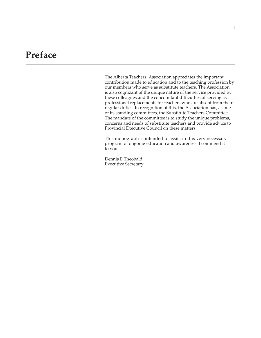# **Preface**

The Alberta Teachers' Association appreciates the important contribution made to education and to the teaching profession by our members who serve as substitute teachers. The Association is also cognizant of the unique nature of the service provided by these colleagues and the concomitant difficulties of serving as professional replacements for teachers who are absent from their regular duties. In recognition of this, the Association has, as one of its standing committees, the Substitute Teachers Committee. The mandate of the committee is to study the unique problems, concerns and needs of substitute teachers and provide advice to Provincial Executive Council on these matters.

This monograph is intended to assist in this very necessary program of ongoing education and awareness. I commend it to you.

Dennis E Theobald Executive Secretary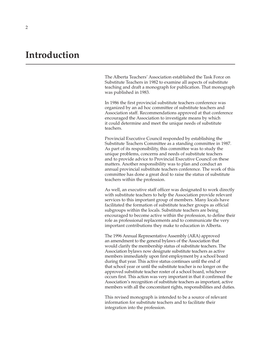# **Introduction**

The Alberta Teachers' Association established the Task Force on Substitute Teachers in 1982 to examine all aspects of substitute teaching and draft a monograph for publication. That monograph was published in 1983.

In 1986 the first provincial substitute teachers conference was organized by an ad hoc committee of substitute teachers and Association staff. Recommendations approved at that conference encouraged the Association to investigate means by which it could determine and meet the unique needs of substitute teachers.

Provincial Executive Council responded by establishing the Substitute Teachers Committee as a standing committee in 1987. As part of its responsibility, this committee was to study the unique problems, concerns and needs of substitute teachers and to provide advice to Provincial Executive Council on these matters. Another responsibility was to plan and conduct an annual provincial substitute teachers conference. The work of this committee has done a great deal to raise the status of substitute teachers within the profession.

As well, an executive staff officer was designated to work directly with substitute teachers to help the Association provide relevant services to this important group of members. Many locals have facilitated the formation of substitute teacher groups as official subgroups within the locals. Substitute teachers are being encouraged to become active within the profession, to define their role as professional replacements and to communicate the very important contributions they make to education in Alberta.

The 1996 Annual Representative Assembly (ARA) approved an amendment to the general bylaws of the Association that would clarify the membership status of substitute teachers. The Association bylaws now designate substitute teachers as active members immediately upon first employment by a school board during that year. This active status continues until the end of that school year or until the substitute teacher is no longer on the approved substitute teacher roster of a school board, whichever occurs first. This action was very important in that it confirmed the Association's recognition of substitute teachers as important, active members with all the concomitant rights, responsibilities and duties.

This revised monograph is intended to be a source of relevant information for substitute teachers and to facilitate their integration into the profession.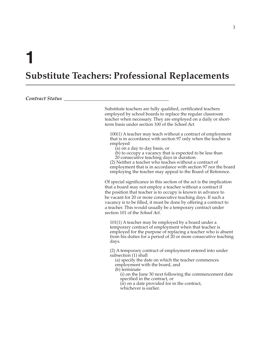# **Substitute Teachers: Professional Replacements**

*Contract Status \_\_\_\_\_\_\_\_\_\_\_\_\_\_\_\_\_\_\_\_\_\_\_\_\_\_\_\_\_\_\_\_\_\_\_\_\_\_\_\_\_*

Substitute teachers are fully qualified, certificated teachers employed by school boards to replace the regular classroom teacher when necessary. They are employed on a daily or shortterm basis under section 100 of the *School Act*.

100(1) A teacher may teach without a contract of employment that is in accordance with section 97 only when the teacher is employed

- (a) on a day to day basis, or
- (b) to occupy a vacancy that is expected to be less than 20 consecutive teaching days in duration.

(2) Neither a teacher who teaches without a contract of employment that is in accordance with section 97 nor the board employing the teacher may appeal to the Board of Reference.

Of special significance in this section of the act is the implication that a board may not employ a teacher without a contract if the position that teacher is to occupy is known in advance to be vacant for 20 or more consecutive teaching days. If such a vacancy is to be filled, it must be done by offering a contract to a teacher. This would usually be a temporary contract under section 101 of the *School Act*.

101(1) A teacher may be employed by a board under a temporary contract of employment when that teacher is employed for the purpose of replacing a teacher who is absent from his duties for a period of 20 or more consecutive teaching days.

(2) A temporary contract of employment entered into under subsection (1) shall

(a) specify the date on which the teacher commences employment with the board, and

(b) terminate

(i) on the June 30 next following the commencement date specified in the contract, or

(ii) on a date provided for in the contract,

whichever is earlier.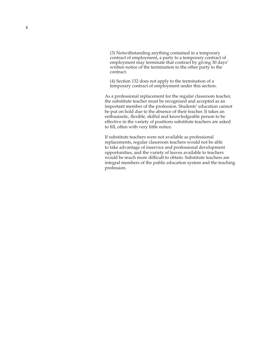(3) Notwithstanding anything contained in a temporary contract of employment, a party to a temporary contract of employment may terminate that contract by giving 30 days' written notice of the termination to the other party to the contract.

(4) Section 132 does not apply to the termination of a temporary contract of employment under this section.

As a professional replacement for the regular classroom teacher, the substitute teacher must be recognized and accepted as an important member of the profession. Students' education cannot be put on hold due to the absence of their teacher. It takes an enthusiastic, flexible, skilful and knowledgeable person to be effective in the variety of positions substitute teachers are asked to fill, often with very little notice.

If substitute teachers were not available as professional replacements, regular classroom teachers would not be able to take advantage of inservice and professional development opportunities, and the variety of leaves available to teachers would be much more difficult to obtain. Substitute teachers are integral members of the public education system and the teaching profession.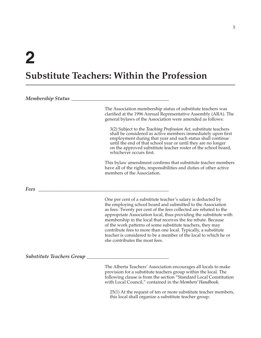# **Substitute Teachers: Within the Profession**

| <b>Membership Status</b>         |                                                                                                                                                                                                                                                                                                                                                                                                                                                                                                                                                                               |
|----------------------------------|-------------------------------------------------------------------------------------------------------------------------------------------------------------------------------------------------------------------------------------------------------------------------------------------------------------------------------------------------------------------------------------------------------------------------------------------------------------------------------------------------------------------------------------------------------------------------------|
|                                  | The Association membership status of substitute teachers was<br>clarified at the 1996 Annual Representative Assembly (ARA). The<br>general bylaws of the Association were amended as follows:                                                                                                                                                                                                                                                                                                                                                                                 |
|                                  | 3(2) Subject to the Teaching Profession Act, substitute teachers<br>shall be considered as active members immediately upon first<br>employment during that year and such status shall continue<br>until the end of that school year or until they are no longer<br>on the approved substitute teacher roster of the school board,<br>whichever occurs first.                                                                                                                                                                                                                  |
|                                  | This bylaw amendment confirms that substitute teacher members<br>have all of the rights, responsibilities and duties of other active<br>members of the Association.                                                                                                                                                                                                                                                                                                                                                                                                           |
| Fees                             |                                                                                                                                                                                                                                                                                                                                                                                                                                                                                                                                                                               |
|                                  | One per cent of a substitute teacher's salary is deducted by<br>the employing school board and submitted to the Association<br>as fees. Twenty per cent of the fees collected are rebated to the<br>appropriate Association local, thus providing the substitute with<br>membership in the local that receives the fee rebate. Because<br>of the work patterns of some substitute teachers, they may<br>contribute fees to more than one local. Typically, a substitute<br>teacher is considered to be a member of the local to which he or<br>she contributes the most fees. |
| <b>Substitute Teachers Group</b> |                                                                                                                                                                                                                                                                                                                                                                                                                                                                                                                                                                               |
|                                  | The Alberta Teachers' Association encourages all locals to make<br>provision for a substitute teachers group within the local. The<br>following clause is from the section "Standard Local Constitution<br>with Local Council," contained in the Members' Handbook.                                                                                                                                                                                                                                                                                                           |

25(1) At the request of ten or more substitute teacher members, this local shall organize a substitute teacher group.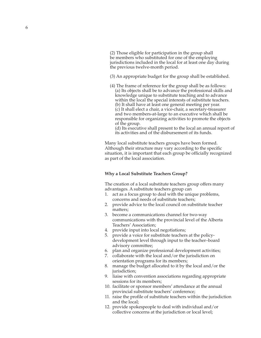(2) Those eligible for participation in the group shall be members who substituted for one of the employing jurisdictions included in the local for at least one day during the previous twelve-month period.

- (3) An appropriate budget for the group shall be established.
- (4) The frame of reference for the group shall be as follows: (a) Its objects shall be to advance the professional skills and knowledge unique to substitute teaching and to advance within the local the special interests of substitute teachers. (b) It shall have at least one general meeting per year. (c) It shall elect a chair, a vice-chair, a secretary-treasurer and two members-at-large to an executive which shall be responsible for organizing activities to promote the objects of the group.

(d) Its executive shall present to the local an annual report of its activities and of the disbursement of its funds.

Many local substitute teachers groups have been formed. Although their structure may vary according to the specific situation, it is important that each group be officially recognized as part of the local association.

### **Why a Local Substitute Teachers Group?**

The creation of a local substitute teachers group offers many advantages. A substitute teachers group can

- 1. act as a focus group to deal with the unique problems, concerns and needs of substitute teachers;
- 2. provide advice to the local council on substitute teacher matters;
- 3. become a communications channel for two-way communications with the provincial level of the Alberta Teachers' Association;
- 4. provide input into local negotiations;
- 5. provide a voice for substitute teachers at the policydevelopment level through input to the teacher–board advisory committee;
- 6. plan and organize professional development activities;
- 7. collaborate with the local and/or the jurisdiction on orientation programs for its members;
- 8. manage the budget allocated to it by the local and/or the jurisdiction;
- 9. liaise with convention associations regarding appropriate sessions for its members;
- 10. facilitate or sponsor members' attendance at the annual provincial substitute teachers' conference;
- 11. raise the profile of substitute teachers within the jurisdiction and the local;
- 12. provide spokespeople to deal with individual and/or collective concerns at the jurisdiction or local level;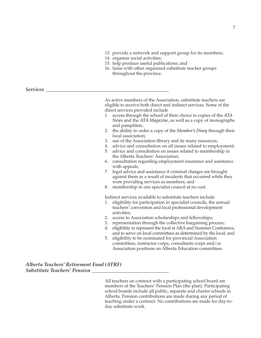- 13. provide a network and support group for its members;
- 14. organize social activities;
- 15. help produce useful publications; and
- 16. liaise with other organized substitute teacher groups throughout the province.

*Services \_\_\_\_\_\_\_\_\_\_\_\_\_\_\_\_\_\_\_\_\_\_\_\_\_\_\_\_\_\_\_\_\_\_\_\_\_\_\_\_\_\_\_\_\_\_\_\_*

As active members of the Association, substitute teachers are eligible to receive both direct and indirect services. Some of the direct services provided include

- 1. access through the school of their choice to copies of the *ATA News* and the *ATA Magazine*, as well as a copy of monographs and pamphlets;
- 2. the ability to order a copy of the *Member's Diary* through their local association;
- 3. use of the Association library and its many resources;
- 4. advice and consultation on all issues related to employment;
- 5. advice and consultation on issues related to membership in the Alberta Teachers' Association;
- 6. consultation regarding employment insurance and assistance with appeals;
- 7. legal advice and assistance if criminal charges are brought against them as a result of incidents that occurred while they were providing services as members; and
- 8. membership in one specialist council at no cost.

Indirect services available to substitute teachers include

- 1. eligibility for participation in specialist councils, the annual teachers' convention and local professional development activities;
- 2. access to Association scholarships and fellowships;
- 3. representation through the collective bargaining process;
- 4. eligibility to represent the local at ARA and Summer Conference, and to serve on local committees as determined by the local; and
- 5. eligibility to be nominated for provincial Association committees, instructor corps, consultants corps and/or Association positions on Alberta Education committees.

*Alberta Teachers' Retirement Fund (ATRF) Substitute Teachers' Pension \_\_\_\_\_\_\_\_\_\_\_\_\_\_\_\_\_\_\_\_\_\_\_\_\_\_\_\_\_\_*

> All teachers on contract with a participating school board are members of the Teachers' Pension Plan (the plan). Participating school boards include all public, separate and charter schools in Alberta. Pension contributions are made during any period of teaching under a contract. No contributions are made for day-today substitute work.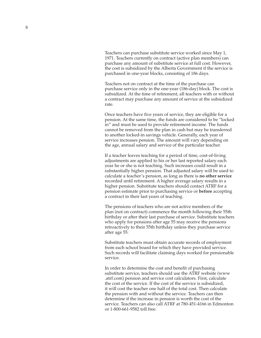Teachers can purchase substitute service worked since May 1, 1971. Teachers currently on contract (active plan members) can purchase any amount of substitute service at full cost. However, the cost is subsidized by the Alberta Government if the service is purchased in one-year blocks, consisting of 186 days.

Teachers not on contract at the time of the purchase can purchase service only in the one-year (186-day) block. The cost is subsidized. At the time of retirement, all teachers with or without a contract may purchase any amount of service at the subsidized rate.

Once teachers have five years of service, they are eligible for a pension. At the same time, the funds are considered to be "locked in" and must be used to provide retirement income. The funds cannot be removed from the plan in cash but may be transferred to another locked-in savings vehicle. Generally, each year of service increases pension. The amount will vary depending on the age, annual salary and service of the particular teacher.

If a teacher leaves teaching for a period of time, cost-of-living adjustments are applied to his or her last reported salary each year he or she is not teaching. Such increases could result in a substantially higher pension. That adjusted salary will be used to calculate a teacher's pension, as long as there is **no other service** recorded until retirement. A higher average salary results in a higher pension. Substitute teachers should contact ATRF for a pension estimate prior to purchasing service or **before** accepting a contract in their last years of teaching.

The pensions of teachers who are not active members of the plan (not on contract) commence the month following their 55th birthday or after their last purchase of service. Substitute teachers who apply for pensions after age 55 may receive the pensions retroactively to their 55th birthday unless they purchase service after age 55.

Substitute teachers must obtain accurate records of employment from each school board for which they have provided service. Such records will facilitate claiming days worked for pensionable service.

In order to determine the cost and benefit of purchasing substitute service, teachers should use the ATRF website (www .atrf.com) pension and service cost calculators. First, calculate the cost of the service. If the cost of the service is subsidized, it will cost the teacher one half of the total cost. Then calculate the pension with and without the service. Teachers can then determine if the increase in pension is worth the cost of the service. Teachers can also call ATRF at 780-451-4166 in Edmonton or 1-800-661-9582 toll free.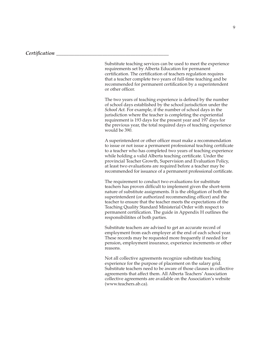Substitute teaching services can be used to meet the experience requirements set by Alberta Education for permanent certification. The certification of teachers regulation requires that a teacher complete two years of full-time teaching and be recommended for permanent certification by a superintendent or other officer.

The two years of teaching experience is defined by the number of school days established by the school jurisdiction under the *School Act.* For example, if the number of school days in the jurisdiction where the teacher is completing the experiential requirement is 193 days for the present year and 197 days for the previous year, the total required days of teaching experience would be 390.

A superintendent or other officer must make a recommendation to issue or not issue a permanent professional teaching certificate to a teacher who has completed two years of teaching experience while holding a valid Alberta teaching certificate. Under the provincial Teacher Growth, Supervision and Evaluation Policy, at least two evaluations are required before a teacher may be recommended for issuance of a permanent professional certificate.

The requirement to conduct two evaluations for substitute teachers has proven difficult to implement given the short-term nature of substitute assignments. It is the obligation of both the superintendent (or authorized recommending officer) and the teacher to ensure that the teacher meets the expectations of the Teaching Quality Standard Ministerial Order with respect to permanent certification. The guide in Appendix H outlines the responsibilitites of both parties.

Substitute teachers are advised to get an accurate record of employment from each employer at the end of each school year. These records may be requested more frequently if needed for pension, employment insurance, experience increments or other reasons.

Not all collective agreements recognize substitute teaching experience for the purpose of placement on the salary grid. Substitute teachers need to be aware of those clauses in collective agreements that affect them. All Alberta Teachers' Association collective agreements are available on the Association's website (www.teachers.ab.ca).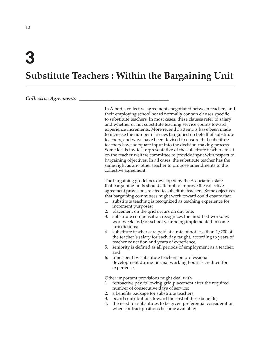# **3**

# **Substitute Teachers : Within the Bargaining Unit**

# *Collective Agreements \_\_\_\_\_\_\_\_\_\_\_\_\_\_\_\_\_\_\_\_\_\_\_\_\_\_\_\_\_\_\_\_\_\_\_*

In Alberta, collective agreements negotiated between teachers and their employing school board normally contain clauses specific to substitute teachers. In most cases, these clauses refer to salary and whether or not substitute teaching service counts toward experience increments. More recently, attempts have been made to increase the number of issues bargained on behalf of substitute teachers, and ways have been devised to ensure that substitute teachers have adequate input into the decision-making process. Some locals invite a representative of the substitute teachers to sit on the teacher welfare committee to provide input with respect to bargaining objectives. In all cases, the substitute teacher has the same right as any other teacher to propose amendments to the collective agreement.

The bargaining guidelines developed by the Association state that bargaining units should attempt to improve the collective agreement provisions related to substitute teachers. Some objectives that bargaining committees might work toward could ensure that

- 1. substitute teaching is recognized as teaching experience for increment purposes;
- 2. placement on the grid occurs on day one;
- 3. substitute compensation recognizes the modified workday, workweek and/or school year being implemented in some jurisdictions;
- 4. substitute teachers are paid at a rate of not less than 1/200 of the teacher's salary for each day taught, according to years of teacher education and years of experience;
- 5. seniority is defined as all periods of employment as a teacher; and
- 6. time spent by substitute teachers on professional development during normal working hours is credited for experience.

Other important provisions might deal with

- 1. retroactive pay following grid placement after the required number of consecutive days of service;
- 2. a benefits package for substitute teachers;
- 3. board contributions toward the cost of these benefits;
- 4. the need for substitutes to be given preferential consideration when contract positions become available;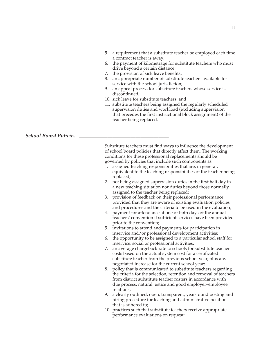- 5. a requirement that a substitute teacher be employed each time a contract teacher is away;
- 6. the payment of kilometrage for substitute teachers who must drive beyond a certain distance;
- 7. the provision of sick leave benefits;
- 8. an appropriate number of substitute teachers available for service with the school jurisdiction;
- 9. an appeal process for substitute teachers whose service is discontinued;
- 10. sick leave for substitute teachers; and
- 11. substitute teachers being assigned the regularly scheduled supervision duties and workload (excluding supervision that precedes the first instructional block assignment) of the teacher being replaced.

### *School Board Policies \_\_\_\_\_\_\_\_\_\_\_\_\_\_\_\_\_\_\_\_\_\_\_\_\_\_\_\_\_\_\_\_\_\_\_*

Substitute teachers must find ways to influence the development of school board policies that directly affect them. The working conditions for these professional replacements should be governed by policies that include such components as

- 1. assigned teaching responsibilities that are, in general, equivalent to the teaching responsibilities of the teacher being replaced;
- 2. not being assigned supervision duties in the first half day in a new teaching situation nor duties beyond those normally assigned to the teacher being replaced;
- 3. provision of feedback on their professional performance, provided that they are aware of existing evaluation policies and procedures and the criteria to be used in the evaluation;
- 4. payment for attendance at one or both days of the annual teachers' convention if sufficient services have been provided prior to the convention;
- 5. invitations to attend and payments for participation in inservice and/or professional development activities;
- 6. the opportunity to be assigned to a particular school staff for inservice, social or professional activities;
- 7. an average chargeback rate to schools for substitute teacher costs based on the actual system cost for a certificated substitute teacher from the previous school year, plus any negotiated increase for the current school year;
- 8. policy that is communicated to substitute teachers regarding the criteria for the selection, retention and removal of teachers from district substitute teacher rosters in accordance with due process, natural justice and good employer–employee relations;
- 9. a clearly outlined, open, transparent, year-round posting and hiring procedure for teaching and administrative positions that is adhered to;
- 10. practices such that substitute teachers receive appropriate performance evaluations on request;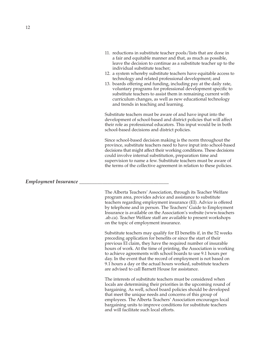- 11. reductions in substitute teacher pools/lists that are done in a fair and equitable manner and that, as much as possible, leave the decision to continue as a substitute teacher up to the individual substitute teacher;
- 12. a system whereby substitute teachers have equitable access to technology and related professional development; and
- 13. boards offering and funding, including pay at the daily rate, voluntary programs for professional development specific to substitute teachers to assist them in remaining current with curriculum changes, as well as new educational technology and trends in teaching and learning.

Substitute teachers must be aware of and have input into the development of school-based and district policies that will affect their role as professional educators. This input would be in both school-based decisions and district policies.

Since school-based decision making is the norm throughout the province, substitute teachers need to have input into school-based decisions that might affect their working conditions. These decisions could involve internal substitution, preparation time and supervision to name a few. Substitute teachers must be aware of the terms of the collective agreement in relation to these policies.

# *Employment Insurance \_\_\_\_\_\_\_\_\_\_\_\_\_\_\_\_\_\_\_\_\_\_\_\_\_\_\_\_\_\_\_\_\_\_\_*

The Alberta Teachers' Association, through its Teacher Welfare program area, provides advice and assistance to substitute teachers regarding employment insurance (EI). Advice is offered by telephone and in person. The Teachers' Guide to Employment Insurance is available on the Association's website (www.teachers .ab.ca). Teacher Welfare staff are available to present workshops on the topic of employment insurance.

Substitute teachers may qualify for EI benefits if, in the 52 weeks preceding application for benefits or since the start of their previous EI claim, they have the required number of insurable hours of work. At the time of printing, the Association is working to achieve agreements with school boards to use 9.1 hours per day. In the event that the record of employment is not based on 9.1 hours a day or the actual hours worked, substitute teachers are advised to call Barnett House for assistance.

The interests of substitute teachers must be considered when locals are determining their priorities in the upcoming round of bargaining. As well, school board policies should be developed that meet the unique needs and concerns of this group of employees. The Alberta Teachers' Association encourages local bargaining units to improve conditions for substitute teachers and will facilitate such local efforts.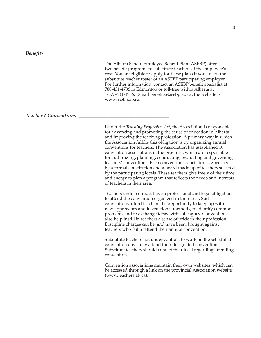#### *Benefits \_\_\_\_\_\_\_\_\_\_\_\_\_\_\_\_\_\_\_\_\_\_\_\_\_\_\_\_\_\_\_\_\_\_\_\_\_\_\_\_\_\_\_\_\_\_\_\_*

The Alberta School Employee Benefit Plan (ASEBP) offers two benefit programs to substitute teachers at the employee's cost. You are eligible to apply for these plans if you are on the substitute teacher roster of an ASEBP participating employer. For further information, contact an ASEBP benefit specialist at 780-431-4786 in Edmonton or toll-free within Alberta at 1-877-431-4786. E-mail benefits@asebp.ab.ca; the website is www.asebp.ab.ca.

### *Teachers' Conventions \_\_\_\_\_\_\_\_\_\_\_\_\_\_\_\_\_\_\_\_\_\_\_\_\_\_\_\_\_\_\_\_\_\_\_*

Under the *Teaching Profession Act*, the Association is responsible for advancing and promoting the cause of education in Alberta and improving the teaching profession. A primary way in which the Association fulfills this obligation is by organizing annual conventions for teachers. The Association has established 10 convention associations in the province, which are responsible for authorizing, planning, conducting, evaluating and governing teachers' conventions. Each convention association is governed by a formal constitution and a board made up of teachers selected by the participating locals. These teachers give freely of their time and energy to plan a program that reflects the needs and interests of teachers in their area.

Teachers under contract have a professional and legal obligation to attend the convention organized in their area. Such conventions afford teachers the opportunity to keep up with new approaches and instructional methods, to identify common problems and to exchange ideas with colleagues. Conventions also help instill in teachers a sense of pride in their profession. Discipline charges can be, and have been, brought against teachers who fail to attend their annual convention.

Substitute teachers not under contract to work on the scheduled convention days may attend their designated convention. Substitute teachers should contact their local regarding attending convention.

Convention associations maintain their own websites, which can be accessed through a link on the provincial Association website (www.teachers.ab.ca).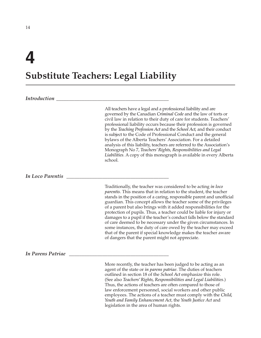# **4**

# **Substitute Teachers: Legal Liability**

# *Introduction \_\_\_\_\_\_\_\_\_\_\_\_\_\_\_\_\_\_\_\_\_\_\_\_\_\_\_\_\_\_\_\_\_\_\_\_\_\_\_\_\_\_\_\_*

All teachers have a legal and a professional liability and are governed by the Canadian *Criminal Code* and the law of torts or civil law in relation to their duty of care for students. Teachers' professional liability occurs because their profession is governed by the *Teaching Profession Act* and the *School Act,* and their conduct is subject to the Code of Professional Conduct and the general bylaws of the Alberta Teachers' Association. For a detailed analysis of this liability, teachers are referred to the Association's Monograph No 7, *Teachers' Rights, Responsibilities and Legal Liabilities*. A copy of this monograph is available in every Alberta school.

# *In Loco Parentis \_\_\_\_\_\_\_\_\_\_\_\_\_\_\_\_\_\_\_\_\_\_\_\_\_\_\_\_\_\_\_\_\_\_\_\_\_\_\_\_*

Traditionally, the teacher was considered to be acting *in loco parentis*. This means that in relation to the student, the teacher stands in the position of a caring, responsible parent and unofficial guardian. This concept allows the teacher some of the privileges of a parent but also brings with it added responsibilities for the protection of pupils. Thus, a teacher could be liable for injury or damages to a pupil if the teacher's conduct falls below the standard of care deemed to be necessary under the given circumstances. In some instances, the duty of care owed by the teacher may exceed that of the parent if special knowledge makes the teacher aware of dangers that the parent might not appreciate.

*In Parens Patriae \_\_\_\_\_\_\_\_\_\_\_\_\_\_\_\_\_\_\_\_\_\_\_\_\_\_\_\_\_\_\_\_\_\_\_\_\_\_\_*

More recently, the teacher has been judged to be acting as an agent of the state or *in parens patriae*. The duties of teachers outlined in section 18 of the *School Act* emphasize this role. (See also *Teachers' Rights, Responsibilities and Legal Liabilities*.) Thus, the actions of teachers are often compared to those of law enforcement personnel, social workers and other public employees. The actions of a teacher must comply with the *Child, Youth and Family Enhancement Act*, the *Youth Justice Act* and legislation in the area of human rights.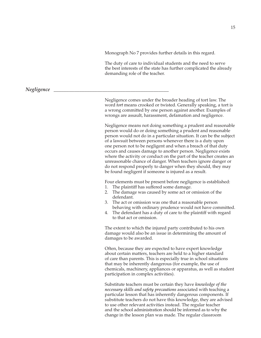Monograph No 7 provides further details in this regard.

The duty of care to individual students and the need to serve the best interests of the state has further complicated the already demanding role of the teacher.

*Negligence \_\_\_\_\_\_\_\_\_\_\_\_\_\_\_\_\_\_\_\_\_\_\_\_\_\_\_\_\_\_\_\_\_\_\_\_\_\_\_\_\_\_\_\_\_*

Negligence comes under the broader heading of tort law. The word *tort* means crooked or twisted. Generally speaking, a tort is a wrong committed by one person against another. Examples of wrongs are assault, harassment, defamation and negligence.

Negligence means not doing something a prudent and reasonable person would do or doing something a prudent and reasonable person would not do in a particular situation. It can be the subject of a lawsuit between persons whenever there is a duty upon one person not to be negligent and when a breach of that duty occurs and causes damage to another person. Negligence exists where the activity or conduct on the part of the teacher creates an unreasonable chance of danger. When teachers ignore danger or do not respond properly to danger when they should, they may be found negligent if someone is injured as a result.

Four elements must be present before negligence is established:

- 1. The plaintiff has suffered some damage.
- 2. The damage was caused by some act or omission of the defendant.
- 3. The act or omission was one that a reasonable person behaving with ordinary prudence would not have committed.
- 4. The defendant has a duty of care to the plaintiff with regard to that act or omission.

The extent to which the injured party contributed to his own damage would also be an issue in determining the amount of damages to be awarded.

Often, because they are expected to have expert knowledge about certain matters, teachers are held to a higher standard of care than parents. This is especially true in school situations that may be inherently dangerous (for example, the use of chemicals, machinery, appliances or apparatus, as well as student participation in complex activities).

Substitute teachers must be certain they have *knowledge of the necessary skills and safety precautions* associated with teaching a particular lesson that has inherently dangerous components. If substitute teachers do not have this knowledge, they are advised to use other relevant activities instead. The regular teacher and the school administration should be informed as to why the change in the lesson plan was made. The regular classroom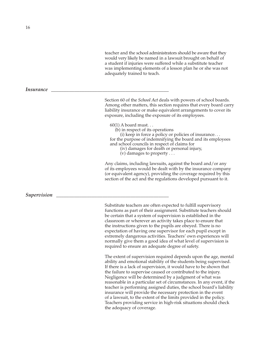teacher and the school administrators should be aware that they would very likely be named in a lawsuit brought on behalf of a student if injuries were suffered while a substitute teacher was implementing elements of a lesson plan he or she was not adequately trained to teach.

Section 60 of the *School Act* deals with powers of school boards. Among other matters, this section requires that every board carry liability insurance or make equivalent arrangements to cover its exposure, including the exposure of its employees.

60(1) A board must. . .

(b) in respect of its operations

(i) keep in force a policy or policies of insurance. . . for the purpose of indemnifying the board and its employees and school councils in respect of claims for

- (iv) damages for death or personal injury,
- (v) damages to property . . .

Any claims, including lawsuits, against the board and/or any of its employees would be dealt with by the insurance company (or equivalent agency), providing the coverage required by this section of the act and the regulations developed pursuant to it.

Substitute teachers are often expected to fulfill supervisory functions as part of their assignment. Substitute teachers should be certain that a system of supervision is established in the classroom or wherever an activity takes place to ensure that the instructions given to the pupils are obeyed. There is no expectation of having one supervisor for each pupil except in extremely dangerous activities. Teachers' own experiences will normally give them a good idea of what level of supervision is required to ensure an adequate degree of safety.

The extent of supervision required depends upon the age, mental ability and emotional stability of the students being supervised. If there is a lack of supervision, it would have to be shown that the failure to supervise caused or contributed to the injury. Negligence will be determined by a judgment of what was reasonable in a particular set of circumstances. In any event, if the teacher is performing assigned duties, the school board's liability insurance will provide the necessary protection in the event of a lawsuit, to the extent of the limits provided in the policy. Teachers providing service in high-risk situations should check the adequacy of coverage.

### *Insurance*

# $Supervision$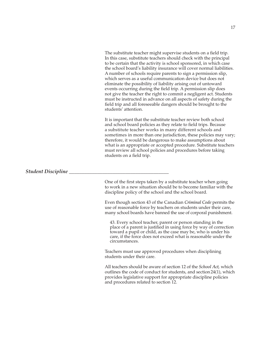The substitute teacher might supervise students on a field trip. In this case, substitute teachers should check with the principal to be certain that the activity is school sponsored, in which case the school board's liability insurance will cover normal liabilities. A number of schools require parents to sign a permission slip, which serves as a useful communication device but does not eliminate the possibility of liability arising out of untoward events occurring during the field trip. A permission slip does not give the teacher the right to commit a negligent act. Students must be instructed in advance on all aspects of safety during the field trip and all foreseeable dangers should be brought to the students' attention.

It is important that the substitute teacher review both school and school board policies as they relate to field trips. Because a substitute teacher works in many different schools and sometimes in more than one jurisdiction, these policies may vary; therefore, it would be dangerous to make assumptions about what is an appropriate or accepted procedure. Substitute teachers must review all school policies and procedures before taking students on a field trip.

*Student Discipline \_\_\_\_\_\_\_\_\_\_\_\_\_\_\_\_\_\_\_\_\_\_\_\_\_\_\_\_\_\_\_\_\_\_\_\_\_\_\_*

One of the first steps taken by a substitute teacher when going to work in a new situation should be to become familiar with the discipline policy of the school and the school board.

Even though section 43 of the Canadian *Criminal Code* permits the use of reasonable force by teachers on students under their care, many school boards have banned the use of corporal punishment.

43. Every school teacher, parent or person standing in the place of a parent is justified in using force by way of correction toward a pupil or child, as the case may be, who is under his care, if the force does not exceed what is reasonable under the circumstances.

Teachers must use approved procedures when disciplining students under their care.

All teachers should be aware of section 12 of the *School Act,* which outlines the code of conduct for students, and section24(1), which provides legislative support for appropriate discipline policies and procedures related to section 12.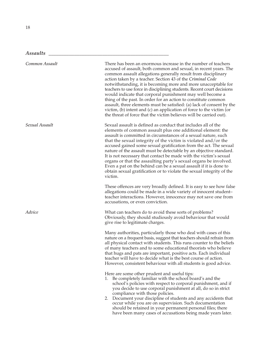*Assaults \_\_\_\_\_\_\_\_\_\_\_\_\_\_\_\_\_\_\_\_\_\_\_\_\_\_\_\_\_\_\_\_\_\_\_\_\_\_\_\_\_\_\_\_\_\_\_*

| Common Assault | There has been an enormous increase in the number of teachers<br>accused of assault, both common and sexual, in recent years. The<br>common assault allegations generally result from disciplinary<br>action taken by a teacher. Section 43 of the Criminal Code<br>notwithstanding, it is becoming more and more unacceptable for<br>teachers to use force in disciplining students. Recent court decisions<br>would indicate that corporal punishment may well become a<br>thing of the past. In order for an action to constitute common<br>assault, three elements must be satisfied: (a) lack of consent by the<br>victim, $(b)$ intent and $(c)$ an application of force to the victim (or<br>the threat of force that the victim believes will be carried out). |
|----------------|------------------------------------------------------------------------------------------------------------------------------------------------------------------------------------------------------------------------------------------------------------------------------------------------------------------------------------------------------------------------------------------------------------------------------------------------------------------------------------------------------------------------------------------------------------------------------------------------------------------------------------------------------------------------------------------------------------------------------------------------------------------------|
| Sexual Assault | Sexual assault is defined as conduct that includes all of the<br>elements of common assault plus one additional element: the<br>assault is committed in circumstances of a sexual nature, such<br>that the sexual integrity of the victim is violated and/or the<br>accused gained some sexual gratification from the act. The sexual<br>nature of the assault must be detectable by an objective standard.<br>It is not necessary that contact be made with the victim's sexual<br>organs or that the assaulting party's sexual organs be involved.<br>Even a pat on the behind can be a sexual assault if it is done to<br>obtain sexual gratification or to violate the sexual integrity of the<br>victim.                                                          |
|                | These offences are very broadly defined. It is easy to see how false<br>allegations could be made in a wide variety of innocent student-<br>teacher interactions. However, innocence may not save one from<br>accusations, or even conviction.                                                                                                                                                                                                                                                                                                                                                                                                                                                                                                                         |
| Advice         | What can teachers do to avoid these sorts of problems?<br>Obviously, they should studiously avoid behaviour that would<br>give rise to legitimate charges.                                                                                                                                                                                                                                                                                                                                                                                                                                                                                                                                                                                                             |
|                | Many authorities, particularly those who deal with cases of this<br>nature on a frequent basis, suggest that teachers should refrain from<br>all physical contact with students. This runs counter to the beliefs<br>of many teachers and to some educational theorists who believe<br>that hugs and pats are important, positive acts. Each individual<br>teacher will have to decide what is the best course of action.<br>However, consistent behaviour with all students is good advice.                                                                                                                                                                                                                                                                           |
|                | Here are some other prudent and useful tips:<br>1. Be completely familiar with the school board's and the<br>school's policies with respect to corporal punishment, and if<br>you decide to use corporal punishment at all, do so in strict<br>compliance with those policies.<br>2. Document your discipline of students and any accidents that<br>occur while you are on supervision. Such documentation<br>should be retained in your permanent personal files; there<br>have been many cases of accusations being made years later.                                                                                                                                                                                                                                |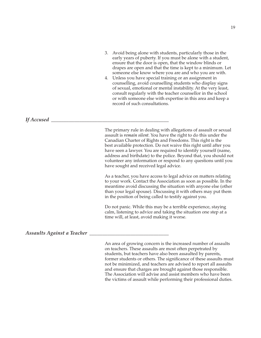- 3. Avoid being alone with students, particularly those in the early years of puberty. If you must be alone with a student, ensure that the door is open, that the window blinds or drapes are open and that the time is kept to a minimum. Let someone else know where you are and who you are with.
- 4. Unless you have special training or an assignment in counselling, avoid counselling students who display signs of sexual, emotional or mental instability. At the very least, consult regularly with the teacher counsellor in the school or with someone else with expertise in this area and keep a record of such consultations.

### *If Accused \_\_\_\_\_\_\_\_\_\_\_\_\_\_\_\_\_\_\_\_\_\_\_\_\_\_\_\_\_\_\_\_\_\_\_\_\_\_\_\_\_\_\_\_\_\_*

The primary rule in dealing with allegations of assault or sexual assault is *remain silent*. You have the right to do this under the Canadian Charter of Rights and Freedoms. This right is the best available protection. Do not waive this right until after you have seen a lawyer. You are required to identify yourself (name, address and birthdate) to the police. Beyond that, you should not volunteer any information or respond to any questions until you have sought and received legal advice.

As a teacher, you have access to legal advice on matters relating to your work. Contact the Association as soon as possible. In the meantime avoid discussing the situation with anyone else (other than your legal spouse). Discussing it with others may put them in the position of being called to testify against you.

Do not panic. While this may be a terrible experience, staying calm, listening to advice and taking the situation one step at a time will, at least, avoid making it worse.

### *Assaults Against a Teacher \_\_\_\_\_\_\_\_\_\_\_\_\_\_\_\_\_\_\_\_\_\_\_\_\_\_\_\_\_\_\_*

An area of growing concern is the increased number of assaults on teachers. These assaults are most often perpetrated by students, but teachers have also been assaulted by parents, former students or others. The significance of these assaults must not be minimized, and teachers are advised to report all assaults and ensure that charges are brought against those responsible. The Association will advise and assist members who have been the victims of assault while performing their professional duties.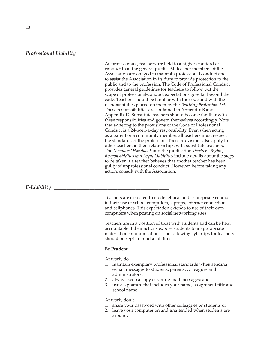### *Professional Liability \_\_\_\_\_\_\_\_\_\_\_\_\_\_\_\_\_\_\_\_\_\_\_\_\_\_\_\_\_\_\_\_\_\_\_*

As professionals, teachers are held to a higher standard of conduct than the general public. All teacher members of the Association are obliged to maintain professional conduct and to assist the Association in its duty to provide protection to the public and to the profession. The Code of Professional Conduct provides general guidelines for teachers to follow, but the scope of professional-conduct expectations goes far beyond the code. Teachers should be familiar with the code and with the responsibilities placed on them by the *Teaching Profession Act*. These responsibilities are contained in Appendix B and Appendix D. Substitute teachers should become familiar with these responsibilities and govern themselves accordingly. Note that adhering to the provisions of the Code of Professional Conduct is a 24-hour-a-day responsibility. Even when acting as a parent or a community member, all teachers must respect the standards of the profession. These provisions also apply to other teachers in their relationships with substitute teachers. The *Members' Handbook* and the publication *Teachers' Rights, Responsibilities and Legal Liabilities* include details about the steps to be taken if a teacher believes that another teacher has been guilty of unprofessional conduct. However, before taking any action, consult with the Association.

*E-Liability \_\_\_\_\_\_\_\_\_\_\_\_\_\_\_\_\_\_\_\_\_\_\_\_\_\_\_\_\_\_\_\_\_\_\_\_\_\_\_\_\_\_\_\_\_*

Teachers are expected to model ethical and appropriate conduct in their use of school computers, laptops, Internet connections and cellphones. This expectation extends to use of their own computers when posting on social networking sites.

Teachers are in a position of trust with students and can be held accountable if their actions expose students to inappropriate material or communications. The following cybertips for teachers should be kept in mind at all times.

#### **Be Prudent**

At work, do

- 1. maintain exemplary professional standards when sending e-mail messages to students, parents, colleagues and administrators;
- 2. always keep a copy of your e-mail messages; and
- 3. use a signature that includes your name, assignment title and school name.

At work, don't

- 1. share your password with other colleagues or students or
- 2. leave your computer on and unattended when students are around.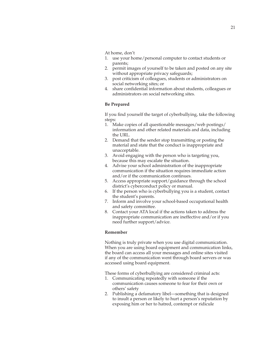At home, don't

- 1. use your home/personal computer to contact students or parents;
- 2. permit images of yourself to be taken and posted on any site without appropriate privacy safeguards;
- 3. post criticism of colleagues, students or administrators on social networking sites; or
- 4. share confidential information about students, colleagues or administrators on social networking sites.

#### **Be Prepared**

If you find yourself the target of cyberbullying, take the following steps:

- 1. Make copies of all questionable messages/web postings/ information and other related materials and data, including the URL.
- 2. Demand that the sender stop transmitting or posting the material and state that the conduct is inappropriate and unacceptable.
- 3. Avoid engaging with the person who is targeting you, because this may escalate the situation.
- 4. Advise your school administration of the inappropriate communication if the situation requires immediate action and/or if the communication continues.
- 5. Access appropriate support/guidance through the school district's cyberconduct policy or manual.
- 6. If the person who is cyberbullying you is a student, contact the student's parents.
- 7. Inform and involve your school-based occupational health and safety committee.
- 8. Contact your ATA local if the actions taken to address the inappropriate communication are ineffective and/or if you need further support/advice.

### **Remember**

Nothing is truly private when you use digital communication. When you are using board equipment and communication links, the board can access all your messages and online sites visited if any of the communication went through board servers or was accessed using board equipment.

These forms of cyberbullying are considered criminal acts:

- 1. Communicating repeatedly with someone if the communication causes someone to fear for their own or others' safety
- 2. Publishing a defamatory libel—something that is designed to insult a person or likely to hurt a person's reputation by exposing him or her to hatred, contempt or ridicule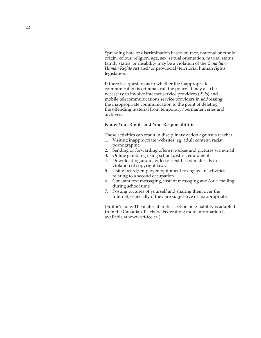Spreading hate or discrimination based on race, national or ethnic origin, colour, religion, age, sex, sexual orientation, marital status, family status, or disability may be a violation of the *Canadian Human Rights Act* and/or provincial/territorial human rights legislation.

If there is a question as to whether the inappropriate communication is criminal, call the police. It may also be necessary to involve internet service providers (ISPs) and mobile telecommunications service providers in addressing the inappropriate communication to the point of deleting the offending material from temporary/permanent sites and archives.

### **Know Your Rights and Your Responsibilities**

These activities can result in disciplinary action against a teacher:

- 1. Visiting inappropriate websites, eg, adult content, racist, pornographic
- 2. Sending or forwarding offensive jokes and pictures via e-mail
- 3. Online gambling using school district equipment
- 4. Downloading audio, video or text-based materials in violation of copyright laws
- 5. Using board/employer equipment to engage in activities relating to a second occupation
- 6. Constant text messaging, instant messaging and/or e-mailing during school time
- 7. Posting pictures of yourself and sharing them over the Internet, especially if they are suggestive or inappropriate.

(Editor's note: The material in this section on e-liability is adapted from the Canadian Teachers' Federation; more information is available at www.ctf-fce.ca.)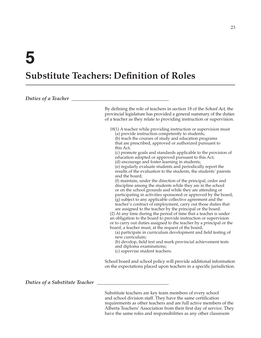# **Substitute Teachers: Definition of Roles**

| Duties of a Teacher            |                                                                                                                                                                                                                                                                                                                                                                                                                                                                                                                                                                                                                                                                                                                                                                                                                                                                                                                                                                                                                                                                                                                                                                                                                                                                                                                                                                                                                                                                                                                                               |
|--------------------------------|-----------------------------------------------------------------------------------------------------------------------------------------------------------------------------------------------------------------------------------------------------------------------------------------------------------------------------------------------------------------------------------------------------------------------------------------------------------------------------------------------------------------------------------------------------------------------------------------------------------------------------------------------------------------------------------------------------------------------------------------------------------------------------------------------------------------------------------------------------------------------------------------------------------------------------------------------------------------------------------------------------------------------------------------------------------------------------------------------------------------------------------------------------------------------------------------------------------------------------------------------------------------------------------------------------------------------------------------------------------------------------------------------------------------------------------------------------------------------------------------------------------------------------------------------|
|                                | By defining the role of teachers in section 18 of the <i>School Act</i> , the<br>provincial legislature has provided a general summary of the duties<br>of a teacher as they relate to providing instruction or supervision.                                                                                                                                                                                                                                                                                                                                                                                                                                                                                                                                                                                                                                                                                                                                                                                                                                                                                                                                                                                                                                                                                                                                                                                                                                                                                                                  |
|                                | 18(1) A teacher while providing instruction or supervision must<br>(a) provide instruction competently to students;<br>(b) teach the courses of study and education programs<br>that are prescribed, approved or authorized pursuant to<br>this Act;<br>(c) promote goals and standards applicable to the provision of<br>education adopted or approved pursuant to this Act;<br>(d) encourage and foster learning in students;<br>(e) regularly evaluate students and periodically report the<br>results of the evaluation to the students, the students' parents<br>and the board;<br>(f) maintain, under the direction of the principal, order and<br>discipline among the students while they are in the school<br>or on the school grounds and while they are attending or<br>participating in activities sponsored or approved by the board;<br>(g) subject to any applicable collective agreement and the<br>teacher's contract of employment, carry out those duties that<br>are assigned to the teacher by the principal or the board.<br>(2) At any time during the period of time that a teacher is under<br>an obligation to the board to provide instruction or supervision<br>or to carry out duties assigned to the teacher by a principal or the<br>board, a teacher must, at the request of the board,<br>(a) participate in curriculum development and field testing of<br>new curriculum;<br>(b) develop, field test and mark provincial achievement tests<br>and diploma examinations;<br>(c) supervise student teachers. |
|                                | School board and school policy will provide additional information<br>on the expectations placed upon teachers in a specific jurisdiction.                                                                                                                                                                                                                                                                                                                                                                                                                                                                                                                                                                                                                                                                                                                                                                                                                                                                                                                                                                                                                                                                                                                                                                                                                                                                                                                                                                                                    |
| Duties of a Substitute Teacher |                                                                                                                                                                                                                                                                                                                                                                                                                                                                                                                                                                                                                                                                                                                                                                                                                                                                                                                                                                                                                                                                                                                                                                                                                                                                                                                                                                                                                                                                                                                                               |

Substitute teachers are key team members of every school and school division staff. They have the same certification requirements as other teachers and are full active members of the Alberta Teachers' Association from their first day of service. They have the same roles and responsibilities as any other classroom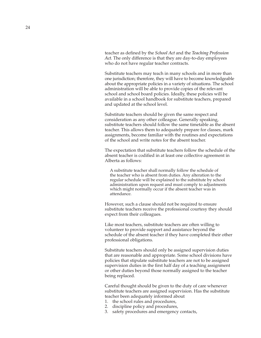teacher as defined by the *School Act* and the *Teaching Profession Act.* The only difference is that they are day-to-day employees who do not have regular teacher contracts.

Substitute teachers may teach in many schools and in more than one jurisdiction; therefore, they will have to become knowledgeable about the appropriate policies in a variety of situations. The school administration will be able to provide copies of the relevant school and school board policies. Ideally, these policies will be available in a school handbook for substitute teachers, prepared and updated at the school level.

Substitute teachers should be given the same respect and consideration as any other colleague. Generally speaking, substitute teachers should follow the same timetable as the absent teacher. This allows them to adequately prepare for classes, mark assignments, become familiar with the routines and expectations of the school and write notes for the absent teacher.

The expectation that substitute teachers follow the schedule of the absent teacher is codified in at least one collective agreement in Alberta as follows:

A substitute teacher shall normally follow the schedule of the teacher who is absent from duties. Any alteration to the regular schedule will be explained to the substitute by school administration upon request and must comply to adjustments which might normally occur if the absent teacher was in attendance.

However, such a clause should not be required to ensure substitute teachers receive the professional courtesy they should expect from their colleagues.

Like most teachers, substitute teachers are often willing to volunteer to provide support and assistance beyond the schedule of the absent teacher if they have completed their other professional obligations.

Substitute teachers should only be assigned supervision duties that are reasonable and appropriate. Some school divisions have policies that stipulate substitute teachers are not to be assigned supervision duties in the first half day of a teaching assignment or other duties beyond those normally assigned to the teacher being replaced.

Careful thought should be given to the duty of care whenever substitute teachers are assigned supervision. Has the substitute teacher been adequately informed about

- 1. the school rules and procedures,
- 2. discipline policy and procedures,
- 3. safety procedures and emergency contacts,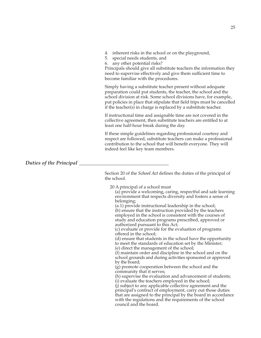- 4. inherent risks in the school or on the playground,
- 5. special needs students, and
- 6. any other potential risks?

Principals should give all substitute teachers the information they need to supervise effectively and give them sufficient time to become familiar with the procedures.

Simply having a substitute teacher present without adequate preparation could put students, the teacher, the school and the school division at risk. Some school divisions have, for example, put policies in place that stipulate that field trips must be cancelled if the teacher(s) in charge is replaced by a substitute teacher.

If instructional time and assignable time are not covered in the collective agreement, then substitute teachers are entitled to at least one half-hour break during the day.

If these simple guidelines regarding professional courtesy and respect are followed, substitute teachers can make a professional contribution to the school that will benefit everyone. They will indeed feel like key team members.

# *Duties of the Principal*

Section 20 of the *School Act* defines the duties of the principal of the school.

20 A principal of a school must

(a) provide a welcoming, caring, respectful and safe learning environment that respects diversity and fosters a sense of belonging;

(a.1) provide instructional leadership in the school; (b) ensure that the instruction provided by the teachers employed in the school is consistent with the courses of study and education programs prescribed, approved or authorized pursuant to this Act;

(c) evaluate or provide for the evaluation of programs offered in the school;

(d) ensure that students in the school have the opportunity to meet the standards of education set by the Minister; (e) direct the management of the school;

(f) maintain order and discipline in the school and on the school grounds and during activities sponsored or approved by the board;

(g) promote cooperation between the school and the community that it serves;

(h) supervise the evaluation and advancement of students; (i) evaluate the teachers employed in the school;

(j) subject to any applicable collective agreement and the principal's contract of employment, carry out those duties that are assigned to the principal by the board in accordance with the regulations and the requirements of the school council and the board.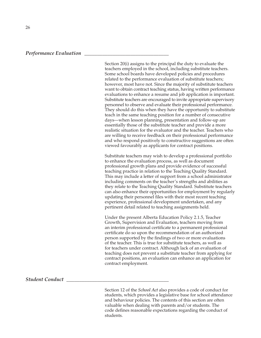#### *Performance Evaluation \_\_\_\_\_\_\_\_\_\_\_\_\_\_\_\_\_\_\_\_\_\_\_\_\_\_\_\_\_\_\_\_\_*

Section 20(i) assigns to the principal the duty to evaluate the teachers employed in the school, including substitute teachers. Some school boards have developed policies and procedures related to the performance evaluation of substitute teachers; however, most have not. Since the majority of substitute teachers want to obtain contract teaching status, having written performance evaluations to enhance a resume and job application is important. Substitute teachers are encouraged to invite appropriate supervisory personnel to observe and evaluate their professional performance. They should do this when they have the opportunity to substitute teach in the same teaching position for a number of consecutive days—when lesson planning, presentation and follow-up are essentially those of the substitute teacher and provide a more realistic situation for the evaluator and the teacher. Teachers who are willing to receive feedback on their professional performance and who respond positively to constructive suggestions are often viewed favourably as applicants for contract positions.

Substitute teachers may wish to develop a professional portfolio to enhance the evaluation process, as well as document professional growth plans and provide evidence of successful teaching practice in relation to the Teaching Quality Standard. This may include a letter of support from a school administrator including comments on the teacher's strengths and abilities as they relate to the Teaching Quality Standard. Substitute teachers can also enhance their opportunities for employment by regularly updating their personnel files with their most recent teaching experience, professional development undertaken, and any pertinent detail related to teaching assignments held.

Under the present Alberta Education Policy 2.1.5, Teacher Growth, Supervision and Evaluation, teachers moving from an interim professional certificate to a permanent professional certificate do so upon the recommendation of an authorized person supported by the findings of two or more evaluations of the teacher. This is true for substitute teachers, as well as for teachers under contract. Although lack of an evaluation of teaching does not prevent a substitute teacher from applying for contract positions, an evaluation can enhance an application for contract employment.

### *Student Conduct \_\_\_\_\_\_\_\_\_\_\_\_\_\_\_\_\_\_\_\_\_\_\_\_\_\_\_\_\_\_\_\_\_\_\_\_\_\_\_\_*

Section 12 of the *School Act* also provides a code of conduct for students, which provides a legislative base for school attendance and behaviour policies. The contents of this section are often valuable when dealing with parents and/or students. The code defines reasonable expectations regarding the conduct of students.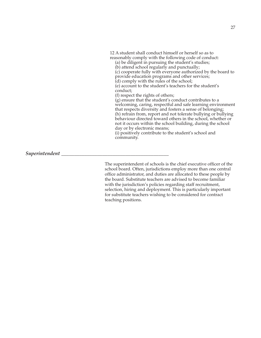12 A student shall conduct himself or herself so as to reasonably comply with the following code of conduct: (a) be diligent in pursuing the student's studies; (b) attend school regularly and punctually; (c) cooperate fully with everyone authorized by the board to provide education programs and other services; (d) comply with the rules of the school; (e) account to the student's teachers for the student's conduct; (f) respect the rights of others; (g) ensure that the student's conduct contributes to a welcoming, caring, respectful and safe learning environment that respects diversity and fosters a sense of belonging; (h) refrain from, report and not tolerate bullying or bullying behaviour directed toward others in the school, whether or not it occurs within the school building, during the school day or by electronic means; (i) positively contribute to the student's school and community.

### *Superintendent \_\_\_\_\_\_\_\_\_\_\_\_\_\_\_\_\_\_\_\_\_\_\_\_\_\_\_\_\_\_\_\_\_\_\_\_\_\_\_\_\_\_*

The superintendent of schools is the chief executive officer of the school board. Often, jurisdictions employ more than one central office administrator, and duties are allocated to these people by the board. Substitute teachers are advised to become familiar with the jurisdiction's policies regarding staff recruitment, selection, hiring and deployment. This is particularly important for substitute teachers wishing to be considered for contract teaching positions.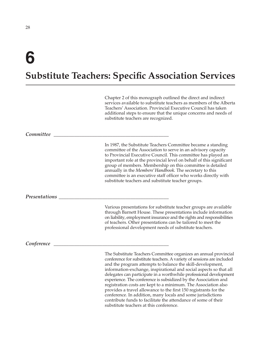# **6**

# **Substitute Teachers: Specific Association Services**

Chapter 2 of this monograph outlined the direct and indirect services available to substitute teachers as members of the Alberta Teachers' Association. Provincial Executive Council has taken additional steps to ensure that the unique concerns and needs of substitute teachers are recognized.

#### *Committee \_\_\_\_\_\_\_\_\_\_\_\_\_\_\_\_\_\_\_\_\_\_\_\_\_\_\_\_\_\_\_\_\_\_\_\_\_\_\_\_\_\_\_\_\_*

In 1987, the Substitute Teachers Committee became a standing committee of the Association to serve in an advisory capacity to Provincial Executive Council. This committee has played an important role at the provincial level on behalf of this significant group of members. Membership on this committee is detailed annually in the *Members' Handbook.* The secretary to this committee is an executive staff officer who works directly with substitute teachers and substitute teacher groups.

#### *Presentations*  $\overline{\phantom{a}}$

Various presentations for substitute teacher groups are available through Barnett House. These presentations include information on liability, employment insurance and the rights and responsibilities of teachers. Other presentations can be tailored to meet the professional development needs of substitute teachers.

#### *Conference \_\_\_\_\_\_\_\_\_\_\_\_\_\_\_\_\_\_\_\_\_\_\_\_\_\_\_\_\_\_\_\_\_\_\_\_\_\_\_\_\_\_\_\_\_*

The Substitute Teachers Committee organizes an annual provincial conference for substitute teachers. A variety of sessions are included and the program attempts to balance the skill-development, information-exchange, inspirational and social aspects so that all delegates can participate in a worthwhile professional development experience. The conference is subsidized by the Association and registration costs are kept to a minimum. The Association also provides a travel allowance to the first 150 registrants for the conference. In addition, many locals and some jurisdictions contribute funds to facilitate the attendance of some of their substitute teachers at this conference.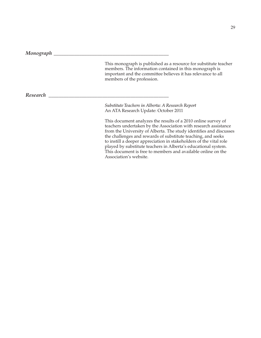*Monograph \_\_\_\_\_\_\_\_\_\_\_\_\_\_\_\_\_\_\_\_\_\_\_\_\_\_\_\_\_\_\_\_\_\_\_\_\_\_\_\_\_\_\_\_\_*

This monograph is published as a resource for substitute teacher members. The information contained in this monograph is important and the committee believes it has relevance to all members of the profession.

*Research \_\_\_\_\_\_\_\_\_\_\_\_\_\_\_\_\_\_\_\_\_\_\_\_\_\_\_\_\_\_\_\_\_\_\_\_\_\_\_\_\_\_\_\_\_\_\_*

*Substitute Teachers in Alberta: A Research Report* An ATA Research Update: October 2011

This document analyzes the results of a 2010 online survey of teachers undertaken by the Association with research assistance from the University of Alberta. The study identifies and discusses the challenges and rewards of substitute teaching, and seeks to instill a deeper appreciation in stakeholders of the vital role played by substitute teachers in Alberta's educational system. This document is free to members and available online on the Association's website.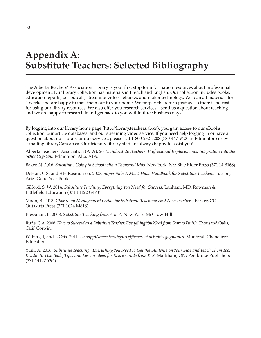# **Appendix A: Substitute Teachers: Selected Bibliography**

The Alberta Teachers' Association Library is your first stop for information resources about professional development. Our library collection has materials in French and English. Our collection includes books, education reports, periodicals, streaming videos, eBooks, and maker technology. We loan all materials for 4 weeks and are happy to mail them out to your home. We prepay the return postage so there is no cost for using our library resources. We also offer you research services – send us a question about teaching and we are happy to research it and get back to you within three business days.

By logging into our library home page (http:*/ /* library.teachers.ab.ca), you gain access to our eBooks collection, our article databases, and our streaming video service. If you need help logging in or have a question about our library or our services, please call 1-800-232-7208 (780-447-9400 in Edmonton) or by e-mailing library@ata.ab.ca. Our friendly library staff are always happy to assist you!

Alberta Teachers' Association (ATA). 2015. *Substitute Teachers: Professional Replacements: Integration into the School System.* Edmonton, Alta: ATA.

Baker, N. 2016. *Substitute: Going to School with a Thousand Kids.* New York, NY: Blue Rider Press (371.14 B168)

DeHan, C S, and S H Rasmussen. 2007. *Super Sub: A Must-Have Handbook for Substitute Teachers.* Tucson, Ariz: Good Year Books.

Gilford, S. W. 2014. *Substitute Teaching: Everything You Need for Success.* Lanham, MD: Rowman & Littlefield Education (371.14122 G473)

Moon, B. 2013. *Classroom Management Guide for Substitute Teachers: And New Teachers.* Parker, CO: Outskirts Press (371.1024 M818)

Pressman, B. 2008. *Substitute Teaching from A to Z.* New York: McGraw-Hill.

Rude, C A. 2008. *How to Succeed as a Substitute Teacher: Everything You Need from Start to Finish.* Thousand Oaks, Calif: Corwin.

Walters, J, and L Otis. 2011. *La suppléance: Stratégies efficaces et activités gagnantes.* Montreal: Chenelière Éducation.

Yuill, A. 2016. *Substitute Teaching? Everything You Need to Get the Students on Your Side and Teach Them Too! Ready-To-Use Tools, Tips, and Lesson Ideas for Every Grade from K-8.* Markham, ON: Pembroke Publishers (371.14122 Y94)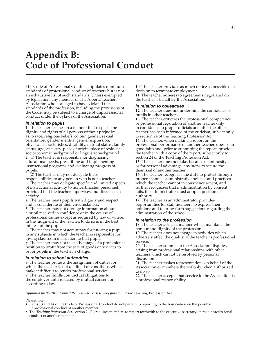# **Appendix B: Code of Professional Conduct**

The Code of Professional Conduct stipulates minimum standards of professional conduct of teachers but is not an exhaustive list of such standards. Unless exempted by legislation, any member of The Alberta Teachers' Association who is alleged to have violated the standards of the profession, including the provisions of the Code, may be subject to a charge of unprofessional conduct under the bylaws of the Association.

#### *In relation to pupils*

**1** The teacher teaches in a manner that respects the dignity and rights of all persons without prejudice as to race, religious beliefs, colour, gender, sexual orientation, gender identity, gender expression, physical characteristics, disability, marital status, family status, age, ancestry, place of origin, place of residence, socioeconomic background or linguistic background. **2** (1) The teacher is responsible for diagnosing educational needs, prescribing and implementing instructional programs and evaluating progress of pupils.

(2) The teacher may not delegate these responsibilities to any person who is not a teacher. **3** The teacher may delegate specific and limited aspects of instructional activity to noncertificated personnel, provided that the teacher supervises and directs such activity.

**4** The teacher treats pupils with dignity and respect and is considerate of their circumstances.

**5** The teacher may not divulge information about a pupil received in confidence or in the course of professional duties except as required by law or where, in the judgment of the teacher, to do so is in the best interest of the pupil.

**6** The teacher may not accept pay for tutoring a pupil in any subjects in which the teacher is responsible for giving classroom instruction to that pupil.

**7** The teacher may not take advantage of a professional position to profit from the sale of goods or services to or for pupils in the teacher's charge.

#### *In relation to school authorities*

**8** The teacher protests the assignment of duties for which the teacher is not qualified or conditions which make it difficult to render professional service. **9** The teacher fulfills contractual obligations to the employer until released by mutual consent or according to law.

**10** The teacher provides as much notice as possible of a decision to terminate employment. **11** The teacher adheres to agreements negotiated on the teacher's behalf by the Association.

#### *In relation to colleagues*

**12** The teacher does not undermine the confidence of pupils in other teachers.

**13** The teacher criticizes the professional competence or professional reputation of another teacher only in confidence to proper officials and after the other teacher has been informed of the criticism, subject only to section 24 of the Teaching Profession Act.

**14** The teacher, when making a report on the professional performance of another teacher, does so in good faith and, prior to submitting the report, provides the teacher with a copy of the report, subject only to section 24 of the Teaching Profession Act.

**15** The teacher does not take, because of animosity or for personal advantage, any steps to secure the dismissal of another teacher.

**16** The teacher recognizes the duty to protest through proper channels administrative policies and practices which the teacher cannot in conscience accept; and further recognizes that if administration by consent fails, the administrator must adopt a position of authority.

**17** The teacher as an administrator provides opportunities for staff members to express their opinions and to bring forth suggestions regarding the administration of the school.

#### *In relation to the profession*

**18** The teacher acts in a manner which maintains the honour and dignity of the profession.

**19** The teacher does not engage in activities which adversely affect the quality of the teacher's professional service.

**20** The teacher submits to the Association disputes arising from professional relationships with other teachers which cannot be resolved by personal discussion.

**21** The teacher makes representations on behalf of the Association or members thereof only when authorized to do so.

**22** The teacher accepts that service to the Association is a professional responsibility.

*Approved by the 2018 Annual Representative Assembly pursuant to the* Teaching Profession Act*.*

#### Please note:

- Items 13 and 14 of the Code of Professional Conduct do not pertain to reporting to the Association on the possible unprofessional conduct of another member.
- The *Teaching Profession Act,* section 24(3), requires members to report forthwith to the executive secretary on the unprofessional conduct of another member.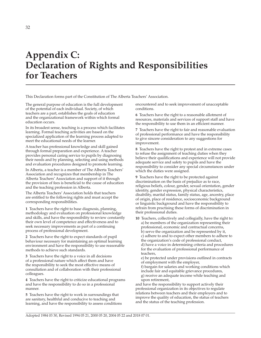# **Appendix C: Declaration of Rights and Responsibilities for Teachers**

This Declaration forms part of the Constitution of The Alberta Teachers' Association.

The general purpose of education is the full development of the potential of each individual. Society, of which teachers are a part, establishes the goals of education and the organizational framework within which formal education occurs.

In its broadest sense, teaching is a process which facilitates learning. Formal teaching activities are based on the specialized application of the learning process adapted to meet the educational needs of the learner.

A teacher has professional knowledge and skill gained through formal preparation and experience. A teacher provides personal caring service to pupils by diagnosing their needs and by planning, selecting and using methods and evaluation procedures designed to promote learning.

In Alberta, a teacher is a member of The Alberta Teachers' Association and recognizes that membership in The Alberta Teachers' Association and support of it through the provision of fees is beneficial to the cause of education and the teaching profession in Alberta.

The Alberta Teachers' Association holds that teachers are entitled to the following rights and must accept the corresponding responsibilities.

**1** Teachers have the right to base diagnosis, planning, methodology and evaluation on professional knowledge and skills, and have the responsibility to review constantly their own level of competence and effectiveness and to seek necessary improvements as part of a continuing process of professional development.

**2** Teachers have the right to expect standards of pupil behaviour necessary for maintaining an optimal learning environment and have the responsibility to use reasonable methods to achieve such standards.

**3** Teachers have the right to a voice in all decisions of a professional nature which affect them and have the responsibility to seek the most effective means of consultation and of collaboration with their professional colleagues.

**4** Teachers have the right to criticize educational programs and have the responsibility to do so in a professional manner.

**5** Teachers have the right to work in surroundings that are sanitary, healthful and conducive to teaching and learning, and have the responsibility to assess conditions encountered and to seek improvement of unacceptable conditions.

**6** Teachers have the right to a reasonable allotment of resources, materials and services of support staff and have the responsibility to use them in an efficient manner.

**7** Teachers have the right to fair and reasonable evaluation of professional performance and have the responsibility to give sincere consideration to any suggestions for improvement.

**8** Teachers have the right to protest and in extreme cases to refuse the assignment of teaching duties when they believe their qualifications and experience will not provide adequate service and safety to pupils and have the responsibility to consider any special circumstances under which the duties were assigned.

**9** Teachers have the right to be protected against discrimination on the basis of prejudice as to race, religious beliefs, colour, gender, sexual orientation, gender identity, gender expression, physical characteristics, disability, marital status, family status, age, ancestry, place of origin, place of residence, socioeconomic background or linguistic background and have the responsibility to refrain from practising these forms of discrimination in their professional duties.

**10** Teachers, collectively and collegially, have the right to: a) be members of the organization representing their professional, economic and contractual concerns, b) serve the organization and be represented by it, c) adhere to and to expect other members to adhere to the organization's code of professional conduct, d) have a voice in determining criteria and procedures for the evaluation of professional performance of teachers,

e) be protected under provisions outlined in contracts of employment with the employer,

f) bargain for salaries and working conditions which include fair and equitable grievance procedures, g) receive an adequate income while teaching and upon retirement,

and have the responsibility to support actively their professional organization in its objectives to regulate relations between teachers and their employers and to improve the quality of education, the status of teachers and the status of the teaching profession.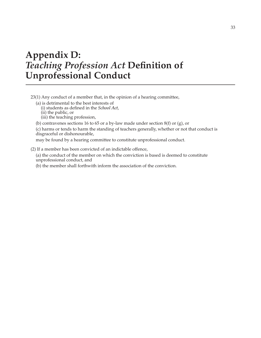# **Appendix D:** *Teaching Profession Act* **Definition of Unprofessional Conduct**

23(1) Any conduct of a member that, in the opinion of a hearing committee,

(a) is detrimental to the best interests of

(i) students as defined in the *School Act*,

(ii) the public, or

(iii) the teaching profession,

(b) contravenes sections 16 to 65 or a by-law made under section  $8(f)$  or (g), or

(c) harms or tends to harm the standing of teachers generally, whether or not that conduct is disgraceful or dishonourable,

may be found by a hearing committee to constitute unprofessional conduct.

(2) If a member has been convicted of an indictable offence,

(a) the conduct of the member on which the conviction is based is deemed to constitute unprofessional conduct, and

(b) the member shall forthwith inform the association of the conviction.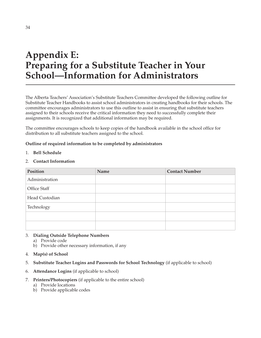# **Appendix E: Preparing for a Substitute Teacher in Your School—Information for Administrators**

The Alberta Teachers' Association's Substitute Teachers Committee developed the following outline for Substitute Teacher Handbooks to assist school administrators in creating handbooks for their schools. The committee encourages administrators to use this outline to assist in ensuring that substitute teachers assigned to their schools receive the critical information they need to successfully complete their assignments. It is recognized that additional information may be required.

The committee encourages schools to keep copies of the handbook available in the school office for distribution to all substitute teachers assigned to the school.

# **Outline of required information to be completed by administrators**

1. **Bell Schedule**

# 2. **Contact Information**

| Position       | Name | <b>Contact Number</b> |
|----------------|------|-----------------------|
| Administration |      |                       |
| Office Staff   |      |                       |
| Head Custodian |      |                       |
| Technology     |      |                       |
|                |      |                       |
|                |      |                       |

# 3. **Dialing Outside Telephone Numbers**

- a) Provide code
- b) Provide other necessary information, if any
- 4. **Map(s) of School**
- 5. **Substitute Teacher Logins and Passwords for School Technology** (if applicable to school)
- 6. **Attendance Logins** (if applicable to school)
- 7. **Printers/Photocopiers** (if applicable to the entire school)
	- a) Provide locations
	- b) Provide applicable codes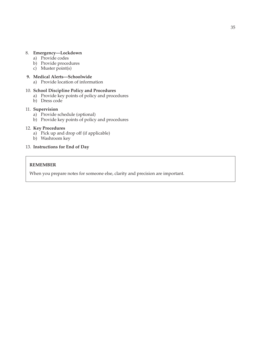# 8. **Emergency—Lockdown**

- a) Provide codes
- b) Provide procedures
- c) Muster point(s)

# **9. Medical Alerts—Schoolwide**

a) Provide location of information

### 10. **School Discipline Policy and Procedures**

- a) Provide key points of policy and procedures
- b) Dress code

### 11. **Supervision**

- a) Provide schedule (optional)
- b) Provide key points of policy and procedures

### 12. **Key Procedures**

- a) Pick up and drop off (if applicable)
- b) Washroom key
- 13. **Instructions for End of Day**

### **REMEMBER**

When you prepare notes for someone else, clarity and precision are important.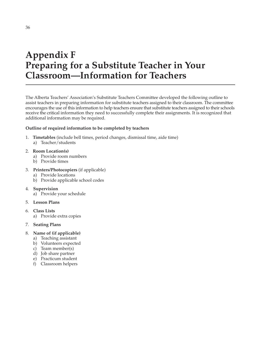# **Appendix F Preparing for a Substitute Teacher in Your Classroom—Information for Teachers**

The Alberta Teachers' Association's Substitute Teachers Committee developed the following outline to assist teachers in preparing information for substitute teachers assigned to their classroom. The committee encourages the use of this information to help teachers ensure that substitute teachers assigned to their schools receive the critical information they need to successfully complete their assignments. It is recognized that additional information may be required.

# **Outline of required information to be completed by teachers**

- 1. **Timetables** (include bell times, period changes, dismissal time, aide time)
	- a) Teacher/students
- 2. **Room Location(s)**
	- a) Provide room numbers
	- b) Provide times

# 3. **Printers/Photocopiers** (if applicable)

- a) Provide locations
- b) Provide applicable school codes
- 4. **Supervision**
	- a) Provide your schedule
- 5. **Lesson Plans**
- 6. **Class Lists** 
	- a) Provide extra copies
- 7. **Seating Plans**

### 8. **Name of (if applicable)**

- a) Teaching assistant
- b) Volunteers expected
- c) Team member(s)
- d) Job share partner
- e) Practicum student
- f) Classroom helpers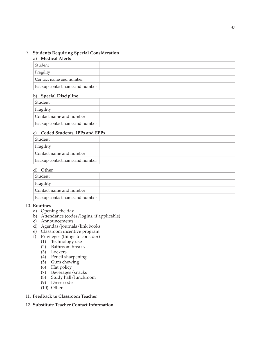# 9. **Students Requiring Special Consideration**

### a) **Medical Alerts**

| Student                        |  |
|--------------------------------|--|
| Fragility                      |  |
| Contact name and number        |  |
| Backup contact name and number |  |

# b) **Special Discipline**

| Student                        |  |
|--------------------------------|--|
| Fragility                      |  |
| Contact name and number        |  |
| Backup contact name and number |  |
|                                |  |

# c) **Coded Students, IPPs and EPPs**

| Student                        |  |
|--------------------------------|--|
| Fragility                      |  |
| Contact name and number        |  |
| Backup contact name and number |  |

# d) **Other**

| Student                        |  |
|--------------------------------|--|
| Fragility                      |  |
| Contact name and number        |  |
| Backup contact name and number |  |

# 10. **Routines**

- a) Opening the day
- b) Attendance (codes/logins, if applicable)
- c) Announcements
- d) Agendas/journals/link books
- e) Classroom incentive program
- f) Privileges (things to consider)
	- (1) Technology use
	- (2) Bathroom breaks
	- (3) Lockers
	- (4) Pencil sharpening
	- (5) Gum chewing
	- (6) Hat policy
	- (7) Beverages/snacks
	- (8) Study hall/lunchroom
	- (9) Dress code
	- (10) Other
- 11. **Feedback to Classroom Teacher**
- 12. **Substitute Teacher Contact Information**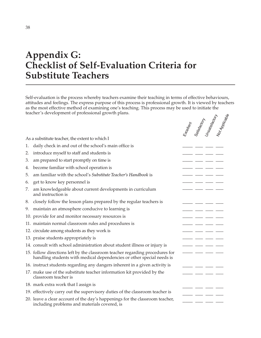# **Appendix G: Checklist of Self-Evaluation Criteria for Substitute Teachers**

Self-evaluation is the process whereby teachers examine their teaching in terms of effective behaviours, attitudes and feelings. The express purpose of this process is professional growth. It is viewed by teachers as the most effective method of examining one's teaching. This process may be used to initiate the teacher's development of professional growth plans.

|    | reacher o development or professional growth p                                                                                                        |  |                                                               |
|----|-------------------------------------------------------------------------------------------------------------------------------------------------------|--|---------------------------------------------------------------|
|    |                                                                                                                                                       |  | Eteallent<br>Satisfactory<br>Unsatisfactory<br>Not Applicable |
|    | As a substitute teacher, the extent to which I                                                                                                        |  |                                                               |
| 1. | daily check in and out of the school's main office is                                                                                                 |  |                                                               |
| 2. | introduce myself to staff and students is                                                                                                             |  |                                                               |
| 3. | am prepared to start promptly on time is                                                                                                              |  |                                                               |
| 4. | become familiar with school operation is                                                                                                              |  |                                                               |
| 5. | am familiar with the school's Substitute Teacher's Handbook is                                                                                        |  |                                                               |
| 6. | get to know key personnel is                                                                                                                          |  |                                                               |
| 7. | am knowledgeable about current developments in curriculum<br>and instruction is                                                                       |  |                                                               |
| 8. | closely follow the lesson plans prepared by the regular teachers is                                                                                   |  |                                                               |
| 9. | maintain an atmosphere conducive to learning is                                                                                                       |  |                                                               |
|    | 10. provide for and monitor necessary resources is                                                                                                    |  |                                                               |
|    | 11. maintain normal classroom rules and procedures is                                                                                                 |  |                                                               |
|    | 12. circulate among students as they work is                                                                                                          |  |                                                               |
|    | 13. praise students appropriately is                                                                                                                  |  |                                                               |
|    | 14. consult with school administration about student illness or injury is                                                                             |  |                                                               |
|    | 15. follow directions left by the classroom teacher regarding procedures for<br>handling students with medical dependencies or other special needs is |  |                                                               |
|    | 16. instruct students regarding any dangers inherent in a given activity is                                                                           |  |                                                               |
|    | 17. make use of the substitute teacher information kit provided by the<br>classroom teacher is                                                        |  |                                                               |
|    | 18. mark extra work that I assign is                                                                                                                  |  |                                                               |
|    | 19. effectively carry out the supervisory duties of the classroom teacher is                                                                          |  |                                                               |
|    | 20. leave a clear account of the day's happenings for the classroom teacher,<br>including problems and materials covered, is                          |  |                                                               |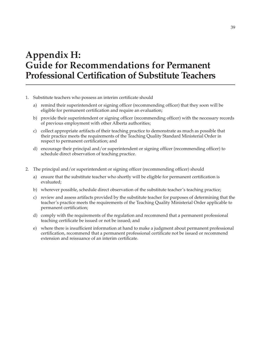# **Appendix H: Guide for Recommendations for Permanent Professional Certification of Substitute Teachers**

- 1. Substitute teachers who possess an interim certificate should
	- a) remind their superintendent or signing officer (recommending officer) that they soon will be eligible for permanent certification and require an evaluation;
	- b) provide their superintendent or signing officer (recommending officer) with the necessary records of previous employment with other Alberta authorities;
	- c) collect appropriate artifacts of their teaching practice to demonstrate as much as possible that their practice meets the requirements of the Teaching Quality Standard Ministerial Order in respect to permanent certification; and
	- d) encourage their principal and/or superintendent or signing officer (recommending officer) to schedule direct observation of teaching practice.
- 2. The principal and/or superintendent or signing officer (recommending officer) should
	- a) ensure that the substitute teacher who shortly will be eligible for permanent certification is evaluated;
	- b) wherever possible, schedule direct observation of the substitute teacher's teaching practice;
	- c) review and assess artifacts provided by the substitute teacher for purposes of determining that the teacher's practice meets the requirements of the Teaching Quality Ministerial Order applicable to permanent certification;
	- d) comply with the requirements of the regulation and recommend that a permanent professional teaching certificate be issued or not be issued; and
	- e) where there is insufficient information at hand to make a judgment about permanent professional certification, recommend that a permanent professional certificate not be issued or recommend extension and reissuance of an interim certificate.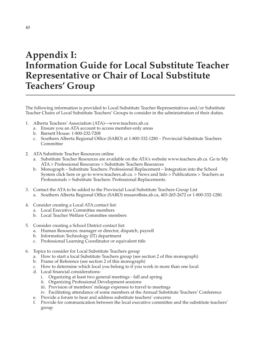# **Appendix I: Information Guide for Local Substitute Teacher Representative or Chair of Local Substitute Teachers' Group**

The following information is provided to Local Substitute Teacher Representatives and/or Substitute Teacher Chairs of Local Substitute Teachers' Groups to consider in the administration of their duties.

- 1. Alberta Teachers' Association (ATA)––www.teachers.ab.ca
	- a. Ensure you an ATA account to access member-only areas
	- b. Barnett House: 1-800-232-7208
	- c. Southern Alberta Regional Office (SARO) at 1-800-332-1280 Provincial Substitute Teachers Committee
- 2. ATA Substitute Teacher Resources online
	- a. Substitute Teacher Resources are available on the ATA's website www.teachers.ab.ca. Go to My ATA > Professional Resources > Substitute Teachers Resources
	- b. Monograph Substitute Teachers: Professional Replacement Integration into the School System click here or go to www.teachers.ab.ca. > News and Info > Publications > Teachers as Professionals > Substitute Teachers: Professional Replacements.
- 3. Contact the ATA to be added to the Provincial Local Substitute Teachers Group List a. Southern Alberta Regional Office (SARO) mssaro@ata.ab.ca, 403-265-2672 or 1-800-332-1280.
- 4. Consider creating a Local ATA contact list:
	- a. Local Executive Committee members
	- b. Local Teacher Welfare Committee members
- 5. Consider creating a School District contact list:
	- a. Human Resources: manager or director, dispatch, payroll
	- b. Information Technology (IT) department
	- c. Professional Learning Coordinator or equivalent title
- 6. Topics to consider for Local Substitute Teachers group
	- a. How to start a local Substitute Teachers group (see section 2 of this monograph)
	- b. Frame of Reference (see section 2 of this monograph)
	- c. How to determine which local you belong to if you work in more than one local
	- d. Local financial considerations:
		- i. Organizing at least two general meetings fall and spring
		- ii. Organizing Professional Development sessions
		- iii. Provision of members' mileage expenses to travel to meetings
		- iv. Facilitating attendance of some members at the Annual Substitute Teachers' Conference
	- e. Provide a forum to hear and address substitute teachers' concerns
	- f. Provide for communication between the local executive committee and the substitute teachers' group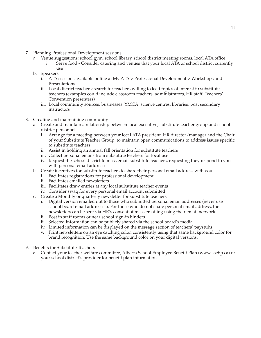- 7. Planning Professional Development sessions
	- a. Venue suggestions: school gym, school library, school district meeting rooms, local ATA office
		- i. Serve food Consider catering and venues that your local ATA or school district currently use
	- b. Speakers
		- i. ATA sessions available online at My ATA > Professional Development > Workshops and Presentations
		- ii. Local district teachers: search for teachers willing to lead topics of interest to substitute teachers (examples could include classroom teachers, administrators, HR staff, Teachers' Convention presenters)
		- iii. Local community sources: businesses, YMCA, science centres, libraries, post secondary instructors
- 8. Creating and maintaining community
	- a. Create and maintain a relationship between local executive, substitute teacher group and school district personnel
		- i. Arrange for a meeting between your local ATA president, HR director/manager and the Chair of your Substitute Teacher Group, to maintain open communications to address issues specific to substitute teachers
		- ii. Assist in holding an annual fall orientation for substitute teachers
		- iii. Collect personal emails from substitute teachers for local use
		- iv. Request the school district to mass email substitute teachers, requesting they respond to you with personal email addresses
	- b. Create incentives for substitute teachers to share their personal email address with you
		- i. Facilitates registrations for professional development
		- ii. Facilitates emailed newsletters
		- iii. Facilitates draw entries at any local substitute teacher events
		- iv. Consider swag for every personal email account submitted
	- c. Create a Monthly or quarterly newsletter for substitute teachers
		- i. Digital version emailed out to those who submitted personal email addresses (never use school board email addresses). For those who do not share personal email address, the newsletters can be sent via HR's consent of mass emailing using their email network
		- ii. Post in staff rooms or near school sign-in binders
		- iii. Selected information can be publicly shared via the school board's media
		- iv. Limited information can be displayed on the message section of teachers' paystubs
		- v. Print newsletters on an eye catching color, consistently using that same background color for brand recognition. Use the same background color on your digital versions.
- 9. Benefits for Substitute Teachers
	- a. Contact your teacher welfare committee, Alberta School Employee Benefit Plan (www.asebp.ca) or your school district's provider for benefit plan information.